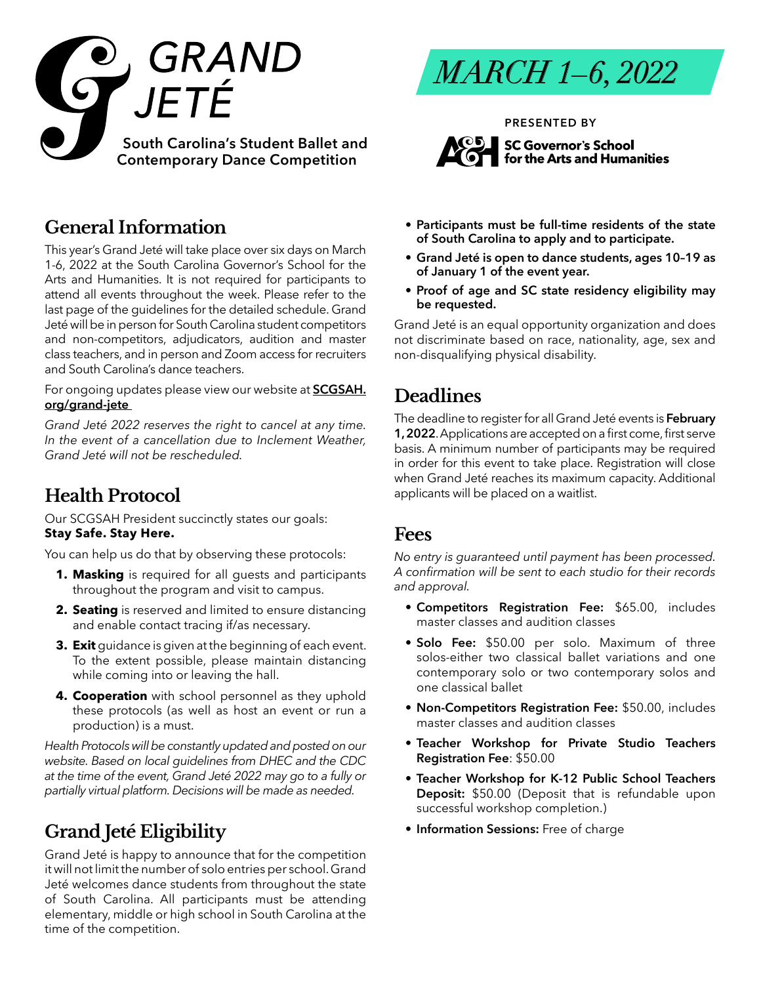

## **General Information**

This year's Grand Jeté will take place over six days on March 1-6, 2022 at the South Carolina Governor's School for the Arts and Humanities. It is not required for participants to attend all events throughout the week. Please refer to the last page of the guidelines for the detailed schedule. Grand Jeté will be in person for South Carolina student competitors and non-competitors, adjudicators, audition and master class teachers, and in person and Zoom access for recruiters and South Carolina's dance teachers.

For ongoing updates please view our website at **[SCGSAH.](http://SCGSAH.org/residential-high-school/dance/grand-jete  ) [org/grand-jete](http://SCGSAH.org/residential-high-school/dance/grand-jete  )** 

*Grand Jeté 2022 reserves the right to cancel at any time. In the event of a cancellation due to Inclement Weather, Grand Jeté will not be rescheduled.*

## **Health Protocol**

Our SCGSAH President succinctly states our goals: **Stay Safe. Stay Here.**

You can help us do that by observing these protocols:

- **1. Masking** is required for all guests and participants throughout the program and visit to campus.
- **2. Seating** is reserved and limited to ensure distancing and enable contact tracing if/as necessary.
- **3. Exit** guidance is given at the beginning of each event. To the extent possible, please maintain distancing while coming into or leaving the hall.
- **4. Cooperation** with school personnel as they uphold these protocols (as well as host an event or run a production) is a must.

*Health Protocols will be constantly updated and posted on our website. Based on local guidelines from DHEC and the CDC at the time of the event, Grand Jeté 2022 may go to a fully or partially virtual platform. Decisions will be made as needed.* 

# **Grand Jeté Eligibility**

Grand Jeté is happy to announce that for the competition it will not limit the number of solo entries per school. Grand Jeté welcomes dance students from throughout the state of South Carolina. All participants must be attending elementary, middle or high school in South Carolina at the time of the competition.

*MARCH 1–6, 2022*

**PRESENTED BY**



- **• Participants must be full-time residents of the state of South Carolina to apply and to participate.**
- **• Grand Jeté is open to dance students, ages 10–19 as of January 1 of the event year.**
- **• Proof of age and SC state residency eligibility may be requested.**

Grand Jeté is an equal opportunity organization and does not discriminate based on race, nationality, age, sex and non-disqualifying physical disability.

## **Deadlines**

The deadline to register for all Grand Jeté events is **February 1, 2022**. Applications are accepted on a first come, first serve basis. A minimum number of participants may be required in order for this event to take place. Registration will close when Grand Jeté reaches its maximum capacity. Additional applicants will be placed on a waitlist.

### **Fees**

*No entry is guaranteed until payment has been processed. A confirmation will be sent to each studio for their records and approval.* 

- **• Competitors Registration Fee:** \$65.00, includes master classes and audition classes
- **• Solo Fee:** \$50.00 per solo. Maximum of three solos-either two classical ballet variations and one contemporary solo or two contemporary solos and one classical ballet
- **• Non-Competitors Registration Fee:** \$50.00, includes master classes and audition classes
- **• Teacher Workshop for Private Studio Teachers Registration Fee**: \$50.00
- **• Teacher Workshop for K-12 Public School Teachers Deposit:** \$50.00 (Deposit that is refundable upon successful workshop completion.)
- **• Information Sessions:** Free of charge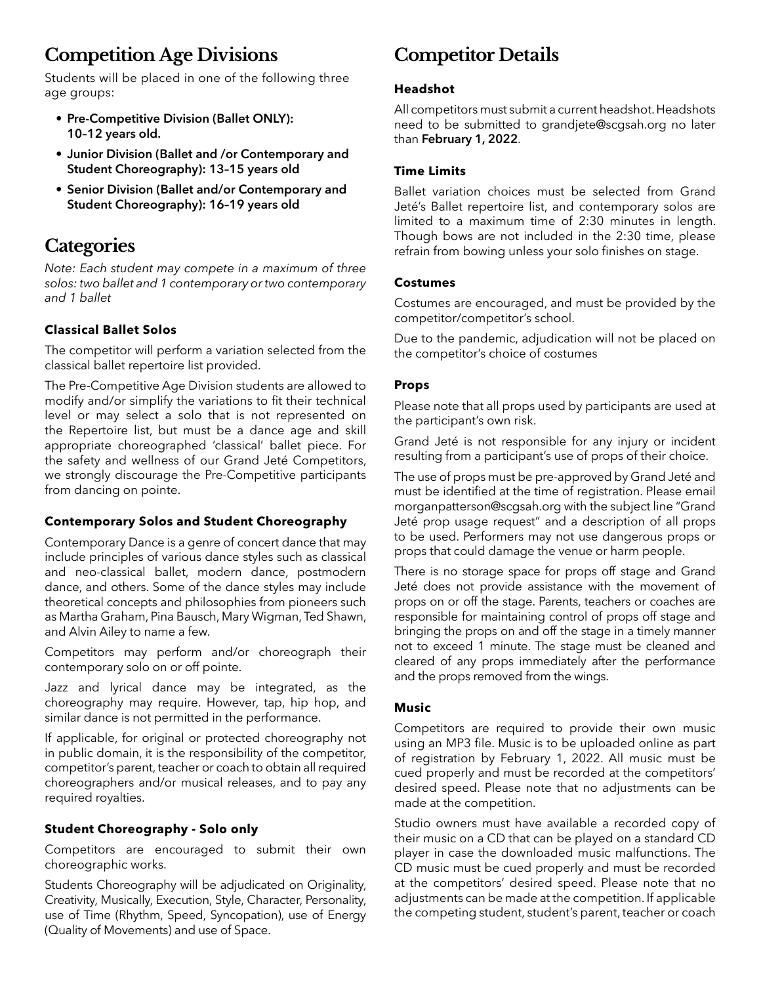# **Competition Age Divisions**

Students will be placed in one of the following three age groups:

- **• Pre-Competitive Division (Ballet ONLY): 10–12 years old.**
- **• Junior Division (Ballet and /or Contemporary and Student Choreography): 13–15 years old**
- **• Senior Division (Ballet and/or Contemporary and Student Choreography): 16–19 years old**

## **Categories**

*Note: Each student may compete in a maximum of three solos: two ballet and 1 contemporary or two contemporary and 1 ballet*

#### **Classical Ballet Solos**

The competitor will perform a variation selected from the classical ballet repertoire list provided.

The Pre-Competitive Age Division students are allowed to modify and/or simplify the variations to fit their technical level or may select a solo that is not represented on the Repertoire list, but must be a dance age and skill appropriate choreographed 'classical' ballet piece. For the safety and wellness of our Grand Jeté Competitors, we strongly discourage the Pre-Competitive participants from dancing on pointe.

#### **Contemporary Solos and Student Choreography**

Contemporary Dance is a genre of concert dance that may include principles of various dance styles such as classical and neo-classical ballet, modern dance, postmodern dance, and others. Some of the dance styles may include theoretical concepts and philosophies from pioneers such as Martha Graham, Pina Bausch, Mary Wigman, Ted Shawn, and Alvin Ailey to name a few.

Competitors may perform and/or choreograph their contemporary solo on or off pointe.

Jazz and lyrical dance may be integrated, as the choreography may require. However, tap, hip hop, and similar dance is not permitted in the performance.

If applicable, for original or protected choreography not in public domain, it is the responsibility of the competitor, competitor's parent, teacher or coach to obtain all required choreographers and/or musical releases, and to pay any required royalties.

#### **Student Choreography - Solo only**

Competitors are encouraged to submit their own choreographic works.

Students Choreography will be adjudicated on Originality, Creativity, Musically, Execution, Style, Character, Personality, use of Time (Rhythm, Speed, Syncopation), use of Energy (Quality of Movements) and use of Space.

# **Competitor Details**

#### **Headshot**

All competitors must submit a current headshot. Headshots need to be submitted to grandjete@scgsah.org no later than **February 1, 2022**.

#### **Time Limits**

Ballet variation choices must be selected from Grand Jeté's Ballet repertoire list, and contemporary solos are limited to a maximum time of 2:30 minutes in length. Though bows are not included in the 2:30 time, please refrain from bowing unless your solo finishes on stage.

#### **Costumes**

Costumes are encouraged, and must be provided by the competitor/competitor's school.

Due to the pandemic, adjudication will not be placed on the competitor's choice of costumes

#### **Props**

Please note that all props used by participants are used at the participant's own risk.

Grand Jeté is not responsible for any injury or incident resulting from a participant's use of props of their choice.

The use of props must be pre-approved by Grand Jeté and must be identified at the time of registration. Please email morganpatterson@scgsah.org with the subject line "Grand Jeté prop usage request" and a description of all props to be used. Performers may not use dangerous props or props that could damage the venue or harm people.

There is no storage space for props off stage and Grand Jeté does not provide assistance with the movement of props on or off the stage. Parents, teachers or coaches are responsible for maintaining control of props off stage and bringing the props on and off the stage in a timely manner not to exceed 1 minute. The stage must be cleaned and cleared of any props immediately after the performance and the props removed from the wings.

#### **Music**

Competitors are required to provide their own music using an MP3 file. Music is to be uploaded online as part of registration by February 1, 2022. All music must be cued properly and must be recorded at the competitors' desired speed. Please note that no adjustments can be made at the competition.

Studio owners must have available a recorded copy of their music on a CD that can be played on a standard CD player in case the downloaded music malfunctions. The CD music must be cued properly and must be recorded at the competitors' desired speed. Please note that no adjustments can be made at the competition. If applicable the competing student, student's parent, teacher or coach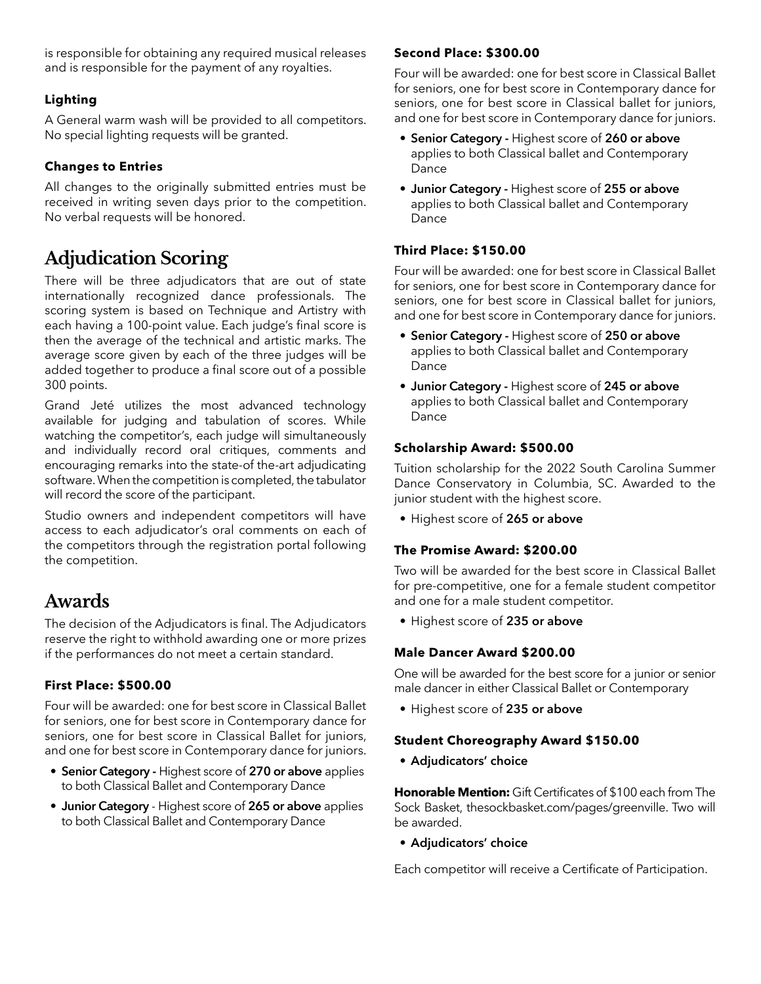is responsible for obtaining any required musical releases and is responsible for the payment of any royalties.

#### **Lighting**

A General warm wash will be provided to all competitors. No special lighting requests will be granted.

#### **Changes to Entries**

All changes to the originally submitted entries must be received in writing seven days prior to the competition. No verbal requests will be honored.

# **Adjudication Scoring**

There will be three adjudicators that are out of state internationally recognized dance professionals. The scoring system is based on Technique and Artistry with each having a 100-point value. Each judge's final score is then the average of the technical and artistic marks. The average score given by each of the three judges will be added together to produce a final score out of a possible 300 points.

Grand Jeté utilizes the most advanced technology available for judging and tabulation of scores. While watching the competitor's, each judge will simultaneously and individually record oral critiques, comments and encouraging remarks into the state-of the-art adjudicating software. When the competition is completed, the tabulator will record the score of the participant.

Studio owners and independent competitors will have access to each adjudicator's oral comments on each of the competitors through the registration portal following the competition.

## **Awards**

The decision of the Adjudicators is final. The Adjudicators reserve the right to withhold awarding one or more prizes if the performances do not meet a certain standard.

#### **First Place: \$500.00**

Four will be awarded: one for best score in Classical Ballet for seniors, one for best score in Contemporary dance for seniors, one for best score in Classical Ballet for juniors, and one for best score in Contemporary dance for juniors.

- **• Senior Category** Highest score of **270 or above** applies to both Classical Ballet and Contemporary Dance
- **• Junior Category**  Highest score of **265 or above** applies to both Classical Ballet and Contemporary Dance

#### **Second Place: \$300.00**

Four will be awarded: one for best score in Classical Ballet for seniors, one for best score in Contemporary dance for seniors, one for best score in Classical ballet for juniors, and one for best score in Contemporary dance for juniors.

- **• Senior Category** Highest score of **260 or above** applies to both Classical ballet and Contemporary Dance
- **• Junior Category** Highest score of **255 or above** applies to both Classical ballet and Contemporary Dance

#### **Third Place: \$150.00**

Four will be awarded: one for best score in Classical Ballet for seniors, one for best score in Contemporary dance for seniors, one for best score in Classical ballet for juniors, and one for best score in Contemporary dance for juniors.

- **• Senior Category** Highest score of **250 or above** applies to both Classical ballet and Contemporary Dance
- **• Junior Category** Highest score of **245 or above** applies to both Classical ballet and Contemporary Dance

#### **Scholarship Award: \$500.00**

Tuition scholarship for the 2022 South Carolina Summer Dance Conservatory in Columbia, SC. Awarded to the junior student with the highest score.

• Highest score of **265 or above** 

#### **The Promise Award: \$200.00**

Two will be awarded for the best score in Classical Ballet for pre-competitive, one for a female student competitor and one for a male student competitor.

• Highest score of **235 or above**

#### **Male Dancer Award \$200.00**

One will be awarded for the best score for a junior or senior male dancer in either Classical Ballet or Contemporary

• Highest score of **235 or above**

#### **Student Choreography Award \$150.00**

**• Adjudicators' choice**

**Honorable Mention:** Gift Certificates of \$100 each from The Sock Basket, thesockbasket.com/pages/greenville. Two will be awarded.

**• Adjudicators' choice** 

Each competitor will receive a Certificate of Participation.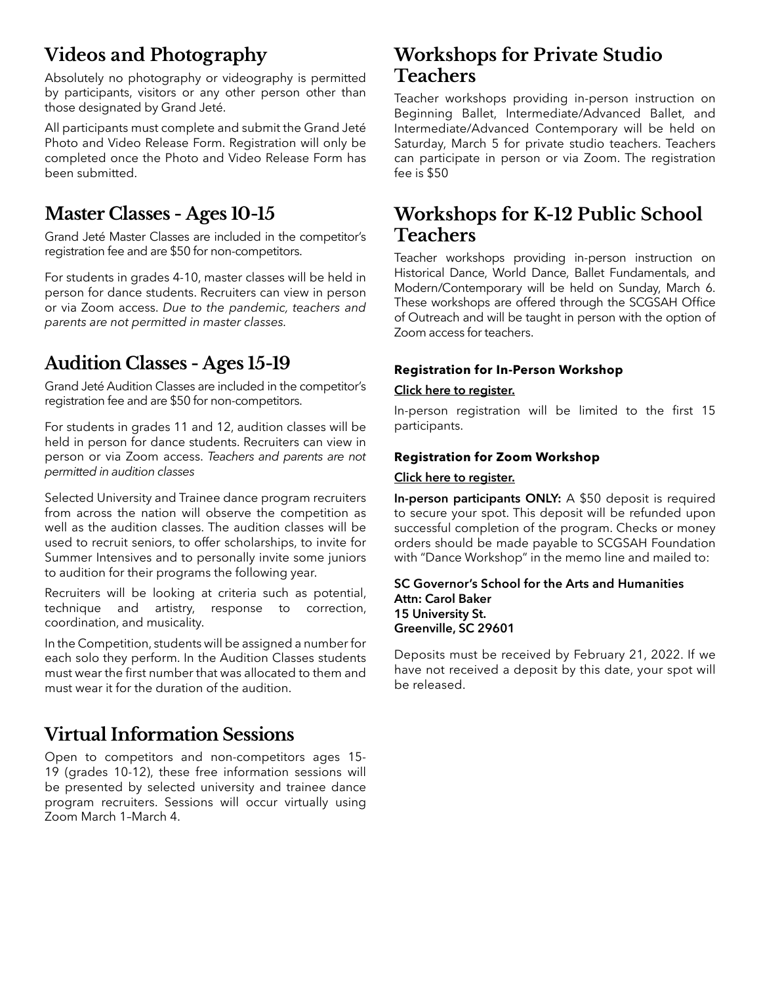# **Videos and Photography**

Absolutely no photography or videography is permitted by participants, visitors or any other person other than those designated by Grand Jeté.

All participants must complete and submit the Grand Jeté Photo and Video Release Form. Registration will only be completed once the Photo and Video Release Form has been submitted.

# **Master Classes - Ages 10-15**

Grand Jeté Master Classes are included in the competitor's registration fee and are \$50 for non-competitors.

For students in grades 4-10, master classes will be held in person for dance students. Recruiters can view in person or via Zoom access. *Due to the pandemic, teachers and parents are not permitted in master classes.*

# **Audition Classes - Ages 15-19**

Grand Jeté Audition Classes are included in the competitor's registration fee and are \$50 for non-competitors.

For students in grades 11 and 12, audition classes will be held in person for dance students. Recruiters can view in person or via Zoom access. *Teachers and parents are not permitted in audition classes*

Selected University and Trainee dance program recruiters from across the nation will observe the competition as well as the audition classes. The audition classes will be used to recruit seniors, to offer scholarships, to invite for Summer Intensives and to personally invite some juniors to audition for their programs the following year.

Recruiters will be looking at criteria such as potential, technique and artistry, response to correction, coordination, and musicality.

In the Competition, students will be assigned a number for each solo they perform. In the Audition Classes students must wear the first number that was allocated to them and must wear it for the duration of the audition.

# **Virtual Information Sessions**

Open to competitors and non-competitors ages 15- 19 (grades 10-12), these free information sessions will be presented by selected university and trainee dance program recruiters. Sessions will occur virtually using Zoom March 1–March 4.

## **Workshops for Private Studio Teachers**

Teacher workshops providing in-person instruction on Beginning Ballet, Intermediate/Advanced Ballet, and Intermediate/Advanced Contemporary will be held on Saturday, March 5 for private studio teachers. Teachers can participate in person or via Zoom. The registration fee is \$50

## **Workshops for K-12 Public School Teachers**

Teacher workshops providing in-person instruction on Historical Dance, World Dance, Ballet Fundamentals, and Modern/Contemporary will be held on Sunday, March 6. These workshops are offered through the SCGSAH Office of Outreach and will be taught in person with the option of Zoom access for teachers.

### **Registration for In-Person Workshop**

### **Click here to register[.](https://docs.google.com/forms/d/e/1FAIpQLSfx1cdjIIJ5tSCslu02JgX8pwoZyVZqmceufGargzuKBT7_RA/viewform?)**

In-person registration will be limited to the first 15 participants.

### **Registration for Zoom Workshop**

#### **Click here to register.**

**In-person participants ONLY:** A \$50 deposit is required to secure your spot. This deposit will be refunded upon successful completion of the program. Checks or money orders should be made payable to SCGSAH Foundation with "Dance Workshop" in the memo line and mailed to:

#### **SC Governor's School for the Arts and Humanities Attn: Carol Baker 15 University St. Greenville, SC 29601**

Deposits must be received by February 21, 2022. If we have not received a deposit by this date, your spot will be released.